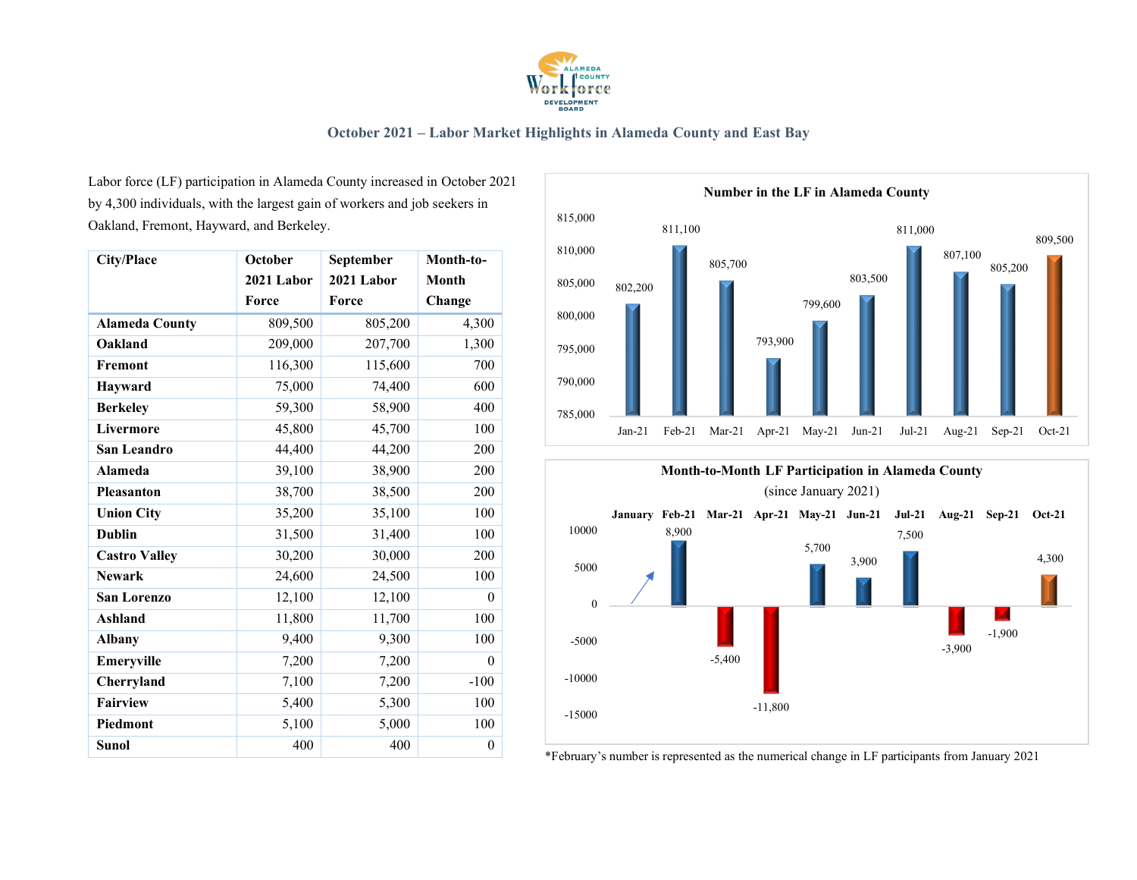

Labor force (LF) participation in Alameda County increased in October 2021 by 4,300 individuals, with the largest gain of workers and job seekers in Oakland, Fremont, Hayward, and Berkeley.

| <b>City/Place</b>     | October        | September  | Month-to-    |  |
|-----------------------|----------------|------------|--------------|--|
|                       | 2021 Labor     | 2021 Labor |              |  |
|                       | Force<br>Force |            | Change       |  |
| <b>Alameda County</b> | 809,500        | 805,200    | 4,300        |  |
| Oakland               | 209,000        | 207,700    | 1,300        |  |
| Fremont               | 116,300        | 115,600    | 700          |  |
| <b>Hayward</b>        | 75,000         | 74,400     | 600          |  |
| <b>Berkeley</b>       | 59,300         | 58,900     | 400          |  |
| Livermore             | 45,800         | 45,700     | 100          |  |
| San Leandro           | 44,400         | 44,200     | 200          |  |
| <b>Alameda</b>        | 39,100         | 38,900     | 200          |  |
| <b>Pleasanton</b>     | 38,700         | 38,500     | 200          |  |
| <b>Union City</b>     | 35,200         | 35,100     | 100          |  |
| <b>Dublin</b>         | 31,500         | 31,400     | 100          |  |
| <b>Castro Valley</b>  | 30,200         | 30,000     | 200          |  |
| <b>Newark</b>         | 24,600         | 24,500     | 100          |  |
| <b>San Lorenzo</b>    | 12,100         | 12,100     | $\theta$     |  |
| <b>Ashland</b>        | 11,800         | 11,700     | 100          |  |
| <b>Albany</b>         | 9,400          | 9,300      | 100          |  |
| Emeryville            | 7,200          | 7,200      | $\theta$     |  |
| Cherryland            | 7,100          | 7,200      | $-100$       |  |
| <b>Fairview</b>       | 5,400          | 5,300      | 100          |  |
| Piedmont              | 5,100          | 5,000      | 100          |  |
| <b>Sunol</b>          | 400            | 400        | $\mathbf{0}$ |  |





\*February's number is represented as the numerical change in LF participants from January 2021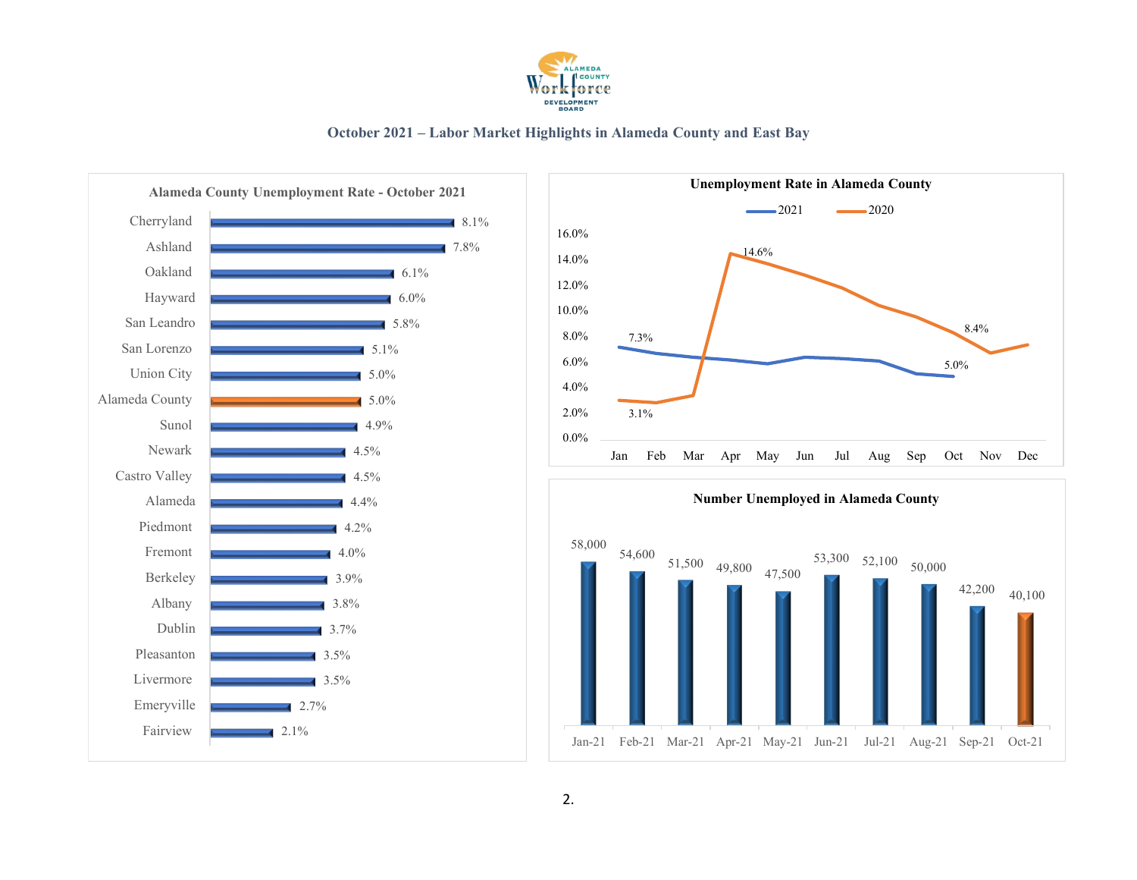





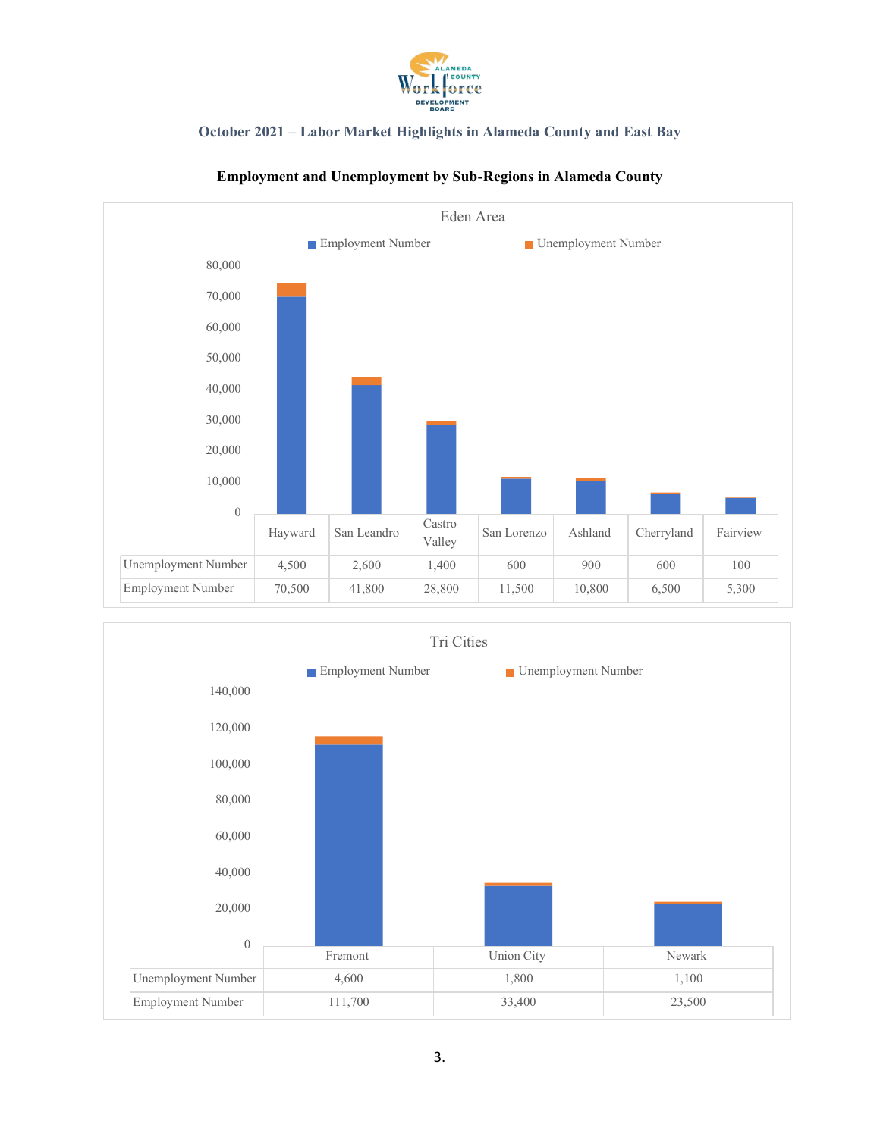



## **Employment and Unemployment by Sub-Regions in Alameda County**

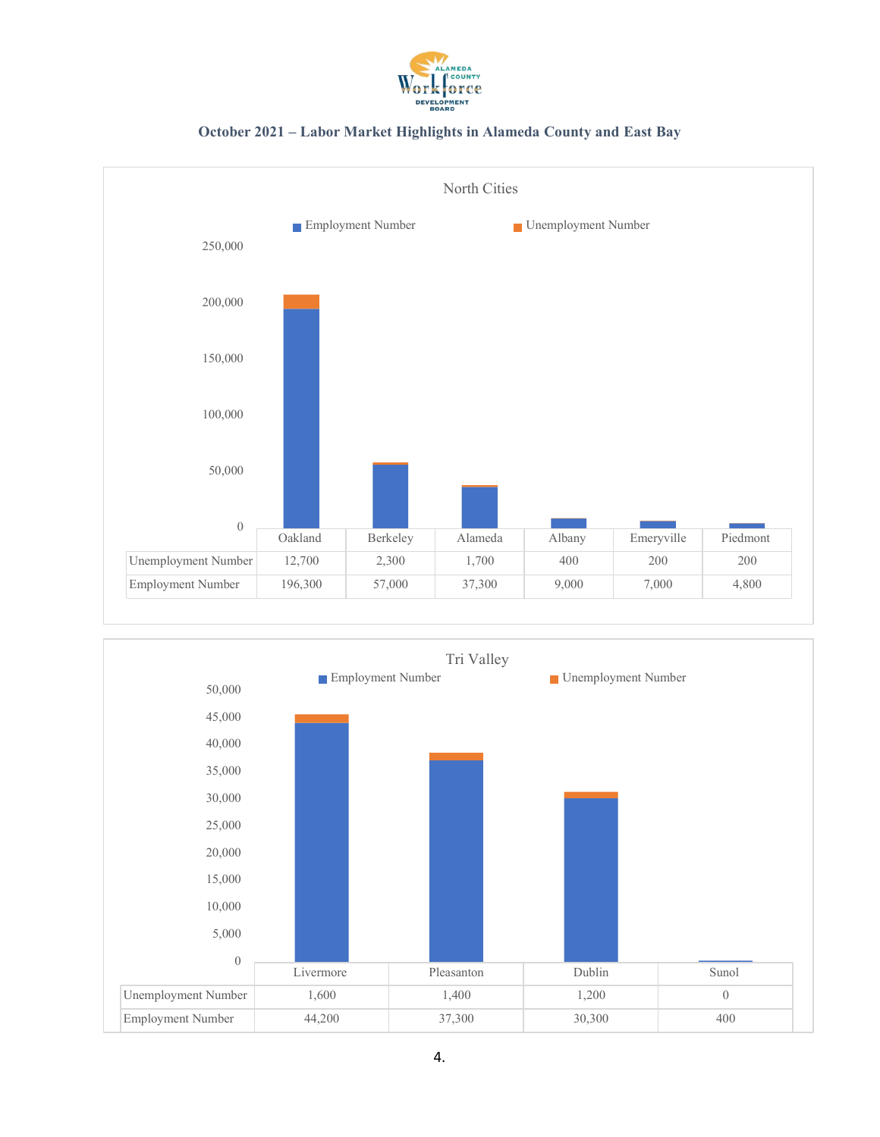



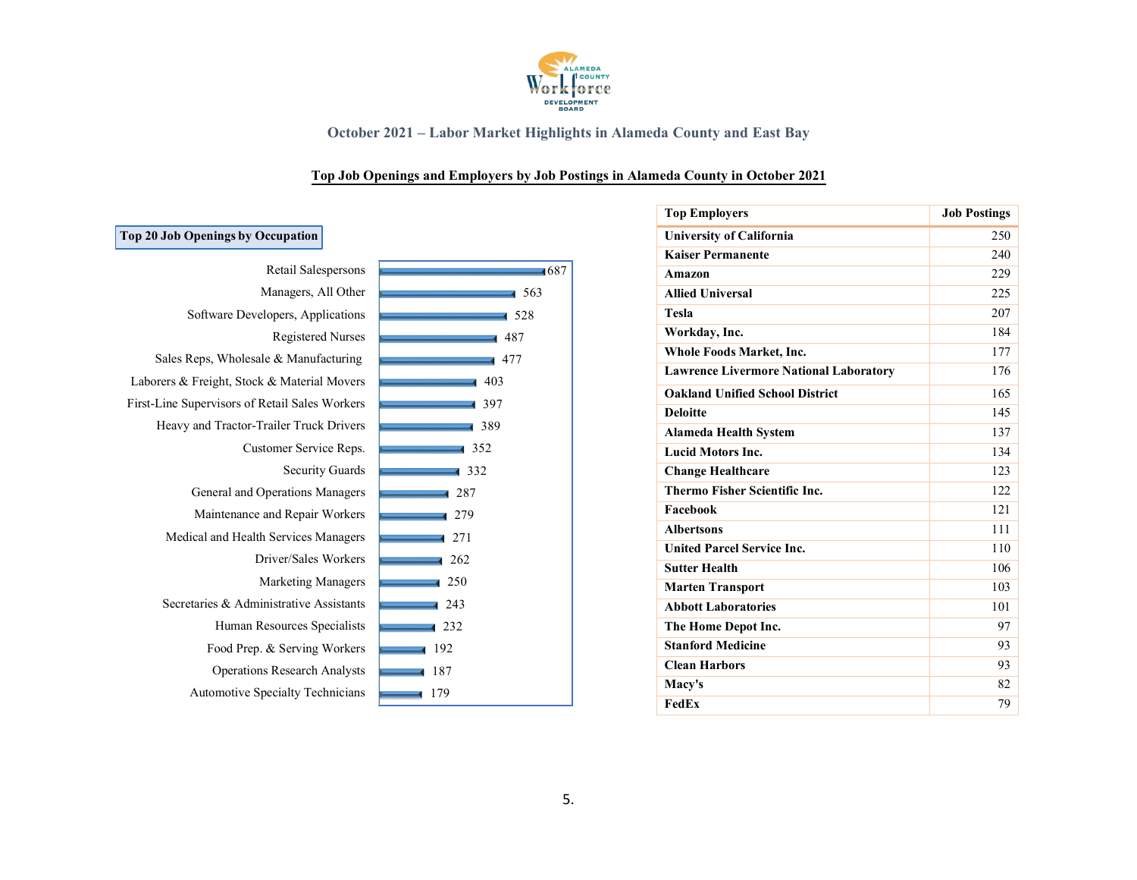

## **Top Job Openings and Employers by Job Postings in Alameda County in October 2021**

| 0p zu Job Openings by Occupation               |  |
|------------------------------------------------|--|
| Retail Salespersons                            |  |
| Managers, All Other                            |  |
| Software Developers, Applications              |  |
| <b>Registered Nurses</b>                       |  |
| Sales Reps, Wholesale & Manufacturing          |  |
| Laborers & Freight, Stock & Material Movers    |  |
| First-Line Supervisors of Retail Sales Workers |  |
| Heavy and Tractor-Trailer Truck Drivers        |  |
| Customer Service Reps.                         |  |
| <b>Security Guards</b>                         |  |
| General and Operations Managers                |  |
| Maintenance and Repair Workers                 |  |
| Medical and Health Services Managers           |  |
| Driver/Sales Workers                           |  |
| <b>Marketing Managers</b>                      |  |
| Secretaries & Administrative Assistants        |  |
| Human Resources Specialists                    |  |
| Food Prep. & Serving Workers                   |  |
| <b>Operations Research Analysts</b>            |  |
| <b>Automotive Specialty Technicians</b>        |  |

| $-1687$                      |
|------------------------------|
| $\overline{\phantom{0}}$ 563 |
| $-1.528$                     |
| 487                          |
| 477                          |
| 403                          |
| 397<br>4                     |
| 389<br>1                     |
| 1352                         |
| $\overline{\phantom{1}}$ 332 |
| $\overline{\phantom{0}}$ 287 |
| 4 2 7 9                      |
| 1271                         |
| 262                          |
| 250                          |
| 243                          |
| 1232                         |
| 192                          |
| 187                          |
| 179<br>4                     |
|                              |

| <b>Top Employers</b>                          | <b>Job Postings</b> |
|-----------------------------------------------|---------------------|
| <b>University of California</b>               | 250                 |
| <b>Kaiser Permanente</b>                      | 240                 |
| Amazon                                        | 229                 |
| <b>Allied Universal</b>                       | 225                 |
| <b>Tesla</b>                                  | 207                 |
| Workday, Inc.                                 | 184                 |
| Whole Foods Market, Inc.                      | 177                 |
| <b>Lawrence Livermore National Laboratory</b> | 176                 |
| <b>Oakland Unified School District</b>        | 165                 |
| <b>Deloitte</b>                               | 145                 |
| <b>Alameda Health System</b>                  | 137                 |
| <b>Lucid Motors Inc.</b>                      | 134                 |
| <b>Change Healthcare</b>                      | 123                 |
| Thermo Fisher Scientific Inc.                 | 122                 |
| Facebook                                      | 121                 |
| <b>Albertsons</b>                             | 111                 |
| <b>United Parcel Service Inc.</b>             | 110                 |
| <b>Sutter Health</b>                          | 106                 |
| <b>Marten Transport</b>                       | 103                 |
| <b>Abbott Laboratories</b>                    | 101                 |
| The Home Depot Inc.                           | 97                  |
| <b>Stanford Medicine</b>                      | 93                  |
| <b>Clean Harbors</b>                          | 93                  |
| Macv's                                        | 82                  |
| FedEx                                         | 79                  |

# **Top 20 Job Openings by Occupation**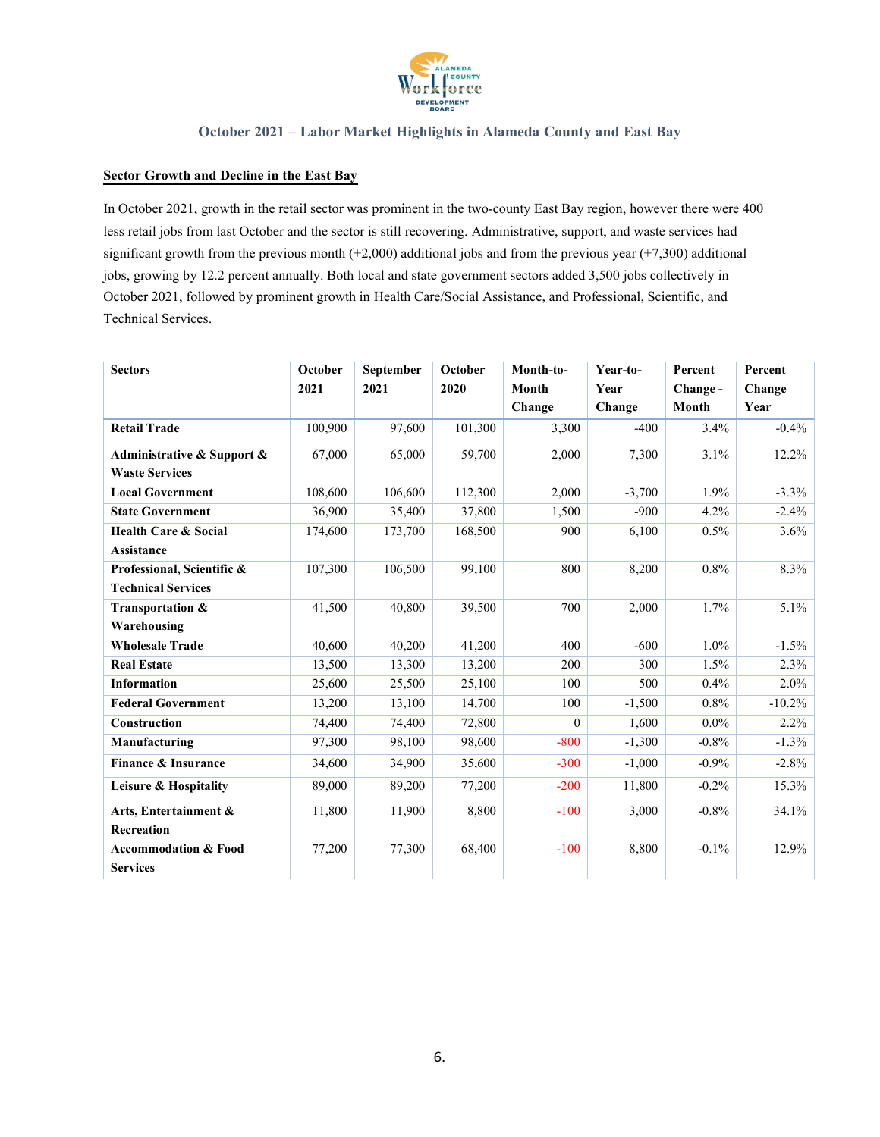

#### **Sector Growth and Decline in the East Bay**

In October 2021, growth in the retail sector was prominent in the two-county East Bay region, however there were 400 less retail jobs from last October and the sector is still recovering. Administrative, support, and waste services had significant growth from the previous month  $(+2,000)$  additional jobs and from the previous year  $(+7,300)$  additional jobs, growing by 12.2 percent annually. Both local and state government sectors added 3,500 jobs collectively in October 2021, followed by prominent growth in Health Care/Social Assistance, and Professional, Scientific, and Technical Services.

| <b>Sectors</b>                  | October | September | October | Month-to- | Year-to- | Percent  | Percent   |
|---------------------------------|---------|-----------|---------|-----------|----------|----------|-----------|
|                                 | 2021    | 2021      | 2020    | Month     | Year     | Change-  | Change    |
|                                 |         |           |         | Change    | Change   | Month    | Year      |
| <b>Retail Trade</b>             | 100,900 | 97,600    | 101,300 | 3,300     | $-400$   | 3.4%     | $-0.4\%$  |
| Administrative & Support &      | 67,000  | 65,000    | 59,700  | 2,000     | 7,300    | 3.1%     | 12.2%     |
| <b>Waste Services</b>           |         |           |         |           |          |          |           |
| <b>Local Government</b>         | 108,600 | 106,600   | 112,300 | 2,000     | $-3,700$ | 1.9%     | $-3.3\%$  |
| <b>State Government</b>         | 36,900  | 35,400    | 37,800  | 1,500     | $-900$   | 4.2%     | $-2.4%$   |
| <b>Health Care &amp; Social</b> | 174,600 | 173,700   | 168,500 | 900       | 6,100    | 0.5%     | 3.6%      |
| Assistance                      |         |           |         |           |          |          |           |
| Professional, Scientific &      | 107,300 | 106,500   | 99,100  | 800       | 8,200    | 0.8%     | 8.3%      |
| <b>Technical Services</b>       |         |           |         |           |          |          |           |
| Transportation &                | 41,500  | 40,800    | 39,500  | 700       | 2,000    | 1.7%     | 5.1%      |
| Warehousing                     |         |           |         |           |          |          |           |
| <b>Wholesale Trade</b>          | 40,600  | 40,200    | 41,200  | 400       | $-600$   | 1.0%     | $-1.5\%$  |
| <b>Real Estate</b>              | 13,500  | 13,300    | 13,200  | 200       | 300      | $1.5\%$  | 2.3%      |
| Information                     | 25,600  | 25,500    | 25,100  | 100       | 500      | $0.4\%$  | $2.0\%$   |
| <b>Federal Government</b>       | 13,200  | 13,100    | 14,700  | 100       | $-1,500$ | $0.8\%$  | $-10.2\%$ |
| Construction                    | 74,400  | 74,400    | 72,800  | $\Omega$  | 1,600    | $0.0\%$  | 2.2%      |
| Manufacturing                   | 97,300  | 98,100    | 98,600  | $-800$    | $-1,300$ | $-0.8%$  | $-1.3\%$  |
| Finance & Insurance             | 34,600  | 34,900    | 35,600  | $-300$    | $-1,000$ | $-0.9\%$ | $-2.8%$   |
| Leisure & Hospitality           | 89,000  | 89,200    | 77,200  | $-200$    | 11,800   | $-0.2%$  | 15.3%     |
| Arts, Entertainment &           | 11,800  | 11,900    | 8,800   | $-100$    | 3,000    | $-0.8%$  | 34.1%     |
| Recreation                      |         |           |         |           |          |          |           |
| <b>Accommodation &amp; Food</b> | 77,200  | 77,300    | 68,400  | $-100$    | 8,800    | $-0.1\%$ | 12.9%     |
| <b>Services</b>                 |         |           |         |           |          |          |           |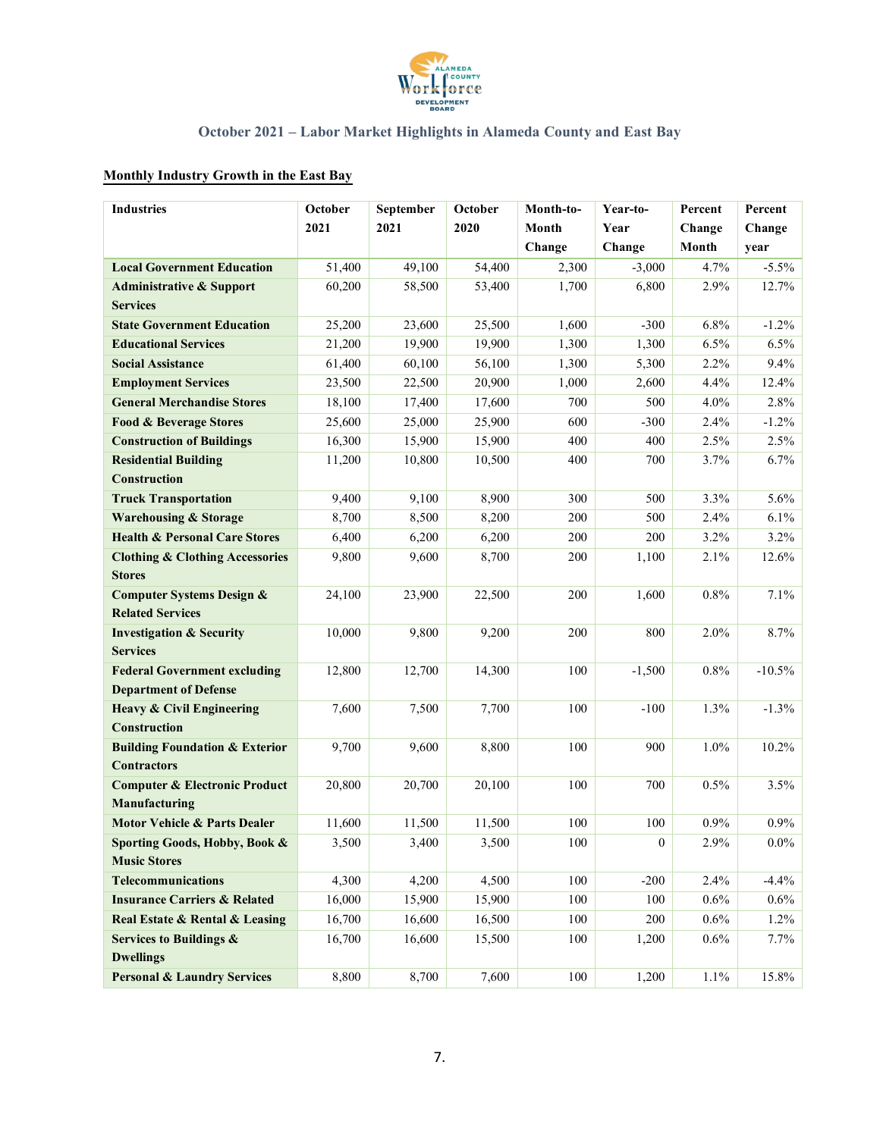

# **Monthly Industry Growth in the East Bay**

| <b>Industries</b>                                      | October          | September | October | Month-to-     | Year-to-         | Percent            | Percent   |
|--------------------------------------------------------|------------------|-----------|---------|---------------|------------------|--------------------|-----------|
|                                                        | 2021             | 2021      | 2020    | Month<br>Year |                  | Change             | Change    |
|                                                        |                  |           |         | Change        | Change           | Month              | year      |
| <b>Local Government Education</b>                      | 51,400           | 49,100    | 54,400  | 2,300         | $-3,000$         | 4.7%               | $-5.5\%$  |
| <b>Administrative &amp; Support</b>                    | 60,200           | 58,500    | 53,400  | 1,700         | 6,800            | 2.9%               | 12.7%     |
| <b>Services</b>                                        |                  |           |         |               |                  |                    |           |
| <b>State Government Education</b>                      | 25,200           | 23,600    | 25,500  | 1,600         | $-300$           | 6.8%               | $-1.2%$   |
| <b>Educational Services</b>                            | 21,200           | 19,900    | 19,900  | 1,300         | 1,300            | 6.5%               | 6.5%      |
| <b>Social Assistance</b>                               | 61,400           | 60,100    | 56,100  | 1,300         | 5,300            | 2.2%               | 9.4%      |
| <b>Employment Services</b>                             | 23,500           | 22,500    | 20,900  | 1,000         | 2,600            | 4.4%               | 12.4%     |
| <b>General Merchandise Stores</b>                      | 18,100           | 17,400    | 17,600  | 700           | 500              | 4.0%               | 2.8%      |
| <b>Food &amp; Beverage Stores</b>                      | 25,600           | 25,000    | 25,900  | 600           | $-300$           | 2.4%               | $-1.2%$   |
| <b>Construction of Buildings</b>                       | 16,300           | 15,900    | 15,900  | 400           | 400              | 2.5%               | 2.5%      |
| <b>Residential Building</b>                            | 11,200           | 10,800    | 10,500  | 400           | 700              | 3.7%               | 6.7%      |
| <b>Construction</b>                                    |                  |           |         |               |                  |                    |           |
| <b>Truck Transportation</b>                            | 9,400            | 9,100     | 8,900   | 300           | 500              | 3.3%               | 5.6%      |
| <b>Warehousing &amp; Storage</b>                       | 8,700            | 8,500     | 8,200   | 200           | 500              | 2.4%               | 6.1%      |
| <b>Health &amp; Personal Care Stores</b>               | 6,400            | 6,200     | 6,200   | 200           | 200              | 3.2%               | 3.2%      |
| <b>Clothing &amp; Clothing Accessories</b>             | 9,800            | 9,600     | 8,700   | 200           | 1,100            | 2.1%               | 12.6%     |
| <b>Stores</b>                                          |                  |           |         |               |                  |                    |           |
| <b>Computer Systems Design &amp;</b>                   | 24,100           | 23,900    | 22,500  | 200           | 1,600            | 0.8%               | 7.1%      |
| <b>Related Services</b>                                |                  |           |         |               |                  |                    |           |
| <b>Investigation &amp; Security</b>                    | 10,000           | 9,800     | 9,200   | 200           | 800              | 2.0%               | 8.7%      |
| <b>Services</b>                                        |                  |           |         |               |                  |                    |           |
| <b>Federal Government excluding</b>                    | 12,800           | 12,700    | 14,300  | 100           | $-1,500$         | 0.8%               | $-10.5\%$ |
| <b>Department of Defense</b>                           |                  |           |         |               |                  |                    |           |
| <b>Heavy &amp; Civil Engineering</b>                   | 7,600            | 7,500     | 7,700   | 100           | $-100$           | 1.3%               | $-1.3%$   |
| Construction                                           |                  |           |         |               |                  |                    |           |
| <b>Building Foundation &amp; Exterior</b>              | 9,700            | 9,600     | 8,800   | 100           | 900              | 1.0%               | 10.2%     |
| <b>Contractors</b>                                     |                  |           |         |               |                  |                    |           |
| <b>Computer &amp; Electronic Product</b>               | 20,800           | 20,700    | 20,100  | 100           | 700              | 0.5%               | 3.5%      |
| Manufacturing                                          |                  |           |         |               |                  |                    |           |
| <b>Motor Vehicle &amp; Parts Dealer</b>                | 11,600           | 11,500    | 11,500  | 100           | 100              | 0.9%               | $0.9\%$   |
| Sporting Goods, Hobby, Book &                          | 3,500            | 3,400     | 3,500   | $100\,$       | $\boldsymbol{0}$ | 2.9%               | $0.0\%$   |
| <b>Music Stores</b><br><b>Telecommunications</b>       | 4,300            |           | 4,500   | 100           | $-200$           |                    | $-4.4%$   |
|                                                        |                  | 4,200     |         |               |                  | 2.4%               |           |
| <b>Insurance Carriers &amp; Related</b>                | 16,000<br>16,700 | 15,900    | 15,900  | 100           | $100\,$          | $0.6\%$<br>$0.6\%$ | $0.6\%$   |
| Real Estate & Rental & Leasing                         |                  | 16,600    | 16,500  | 100           | 200              |                    | $1.2\%$   |
| <b>Services to Buildings &amp;</b><br><b>Dwellings</b> | 16,700           | 16,600    | 15,500  | 100           | 1,200            | $0.6\%$            | $7.7\%$   |
|                                                        |                  |           |         |               |                  |                    |           |
| <b>Personal &amp; Laundry Services</b>                 | 8,800            | 8,700     | 7,600   | 100           | 1,200            | 1.1%               | 15.8%     |